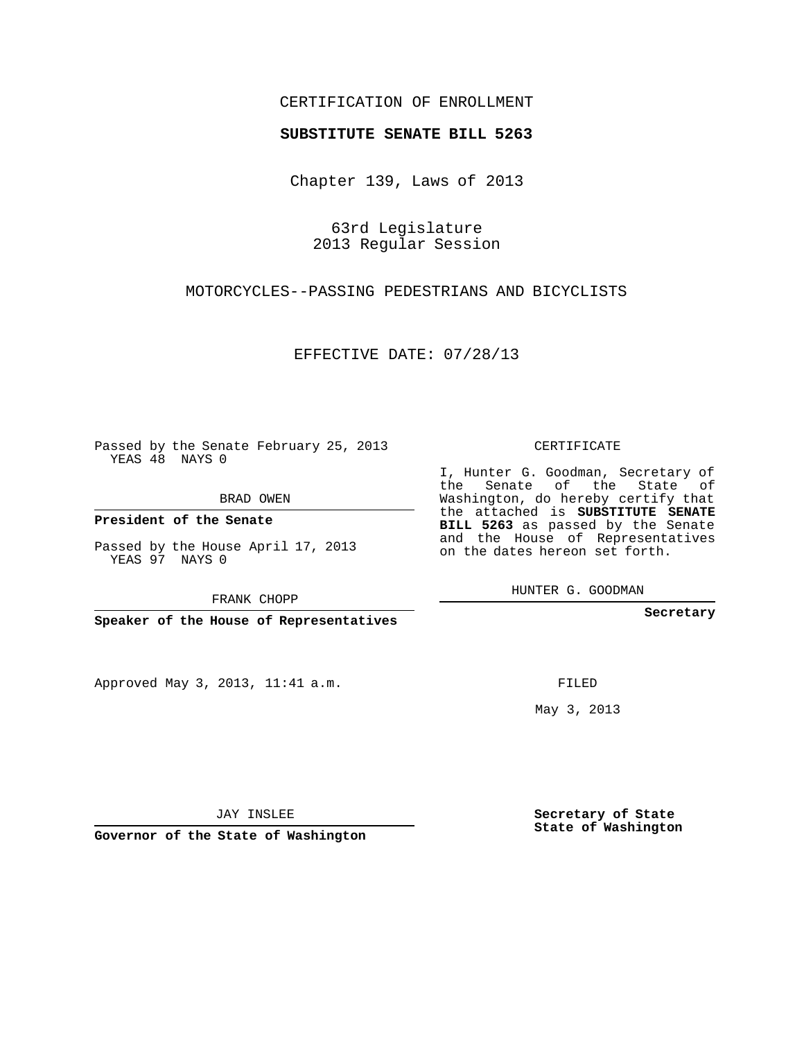## CERTIFICATION OF ENROLLMENT

## **SUBSTITUTE SENATE BILL 5263**

Chapter 139, Laws of 2013

63rd Legislature 2013 Regular Session

MOTORCYCLES--PASSING PEDESTRIANS AND BICYCLISTS

EFFECTIVE DATE: 07/28/13

Passed by the Senate February 25, 2013 YEAS 48 NAYS 0

BRAD OWEN

**President of the Senate**

Passed by the House April 17, 2013 YEAS 97 NAYS 0

FRANK CHOPP

**Speaker of the House of Representatives**

Approved May 3, 2013, 11:41 a.m.

CERTIFICATE

I, Hunter G. Goodman, Secretary of the Senate of the State of Washington, do hereby certify that the attached is **SUBSTITUTE SENATE BILL 5263** as passed by the Senate and the House of Representatives on the dates hereon set forth.

HUNTER G. GOODMAN

**Secretary**

FILED

May 3, 2013

**Secretary of State State of Washington**

JAY INSLEE

**Governor of the State of Washington**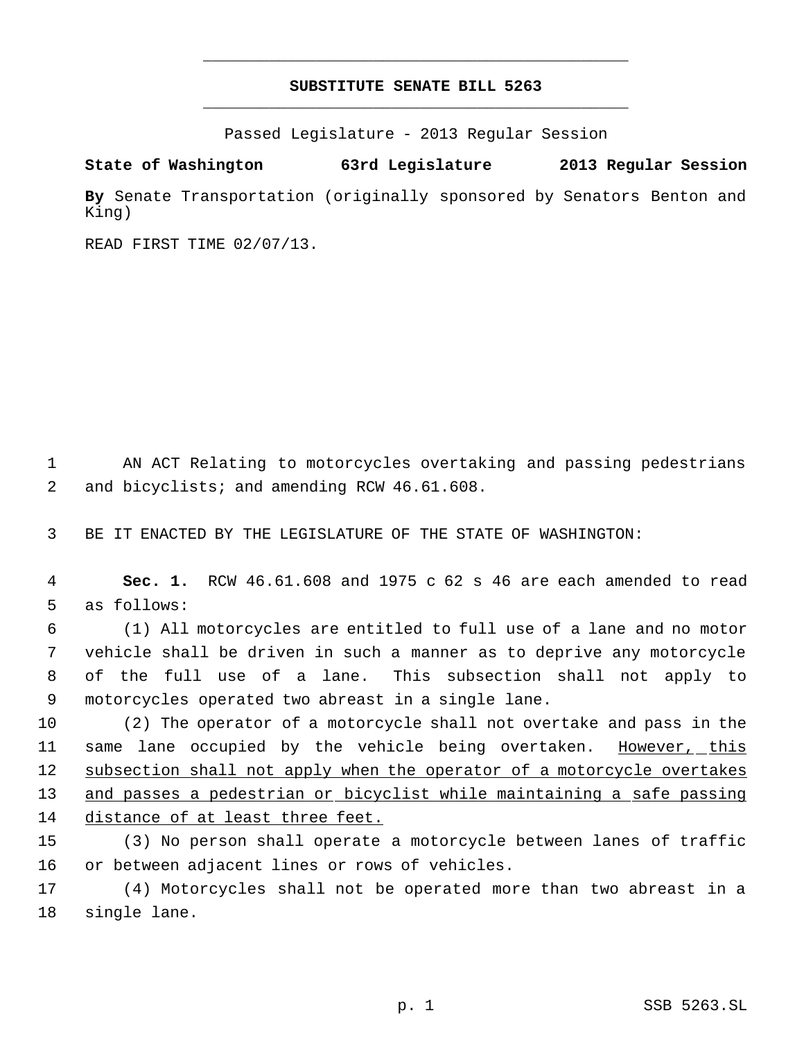## **SUBSTITUTE SENATE BILL 5263** \_\_\_\_\_\_\_\_\_\_\_\_\_\_\_\_\_\_\_\_\_\_\_\_\_\_\_\_\_\_\_\_\_\_\_\_\_\_\_\_\_\_\_\_\_

\_\_\_\_\_\_\_\_\_\_\_\_\_\_\_\_\_\_\_\_\_\_\_\_\_\_\_\_\_\_\_\_\_\_\_\_\_\_\_\_\_\_\_\_\_

Passed Legislature - 2013 Regular Session

**State of Washington 63rd Legislature 2013 Regular Session**

**By** Senate Transportation (originally sponsored by Senators Benton and King)

READ FIRST TIME 02/07/13.

 1 AN ACT Relating to motorcycles overtaking and passing pedestrians 2 and bicyclists; and amending RCW 46.61.608.

3 BE IT ENACTED BY THE LEGISLATURE OF THE STATE OF WASHINGTON:

 4 **Sec. 1.** RCW 46.61.608 and 1975 c 62 s 46 are each amended to read 5 as follows:

 (1) All motorcycles are entitled to full use of a lane and no motor vehicle shall be driven in such a manner as to deprive any motorcycle of the full use of a lane. This subsection shall not apply to motorcycles operated two abreast in a single lane.

10 (2) The operator of a motorcycle shall not overtake and pass in the 11 same lane occupied by the vehicle being overtaken. However, this 12 subsection shall not apply when the operator of a motorcycle overtakes 13 and passes a pedestrian or bicyclist while maintaining a safe passing 14 distance of at least three feet.

15 (3) No person shall operate a motorcycle between lanes of traffic 16 or between adjacent lines or rows of vehicles.

17 (4) Motorcycles shall not be operated more than two abreast in a 18 single lane.